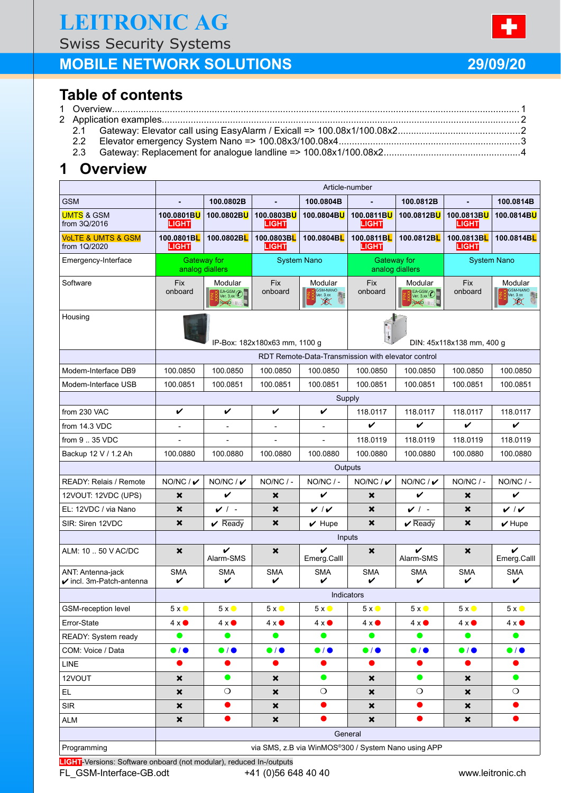Swiss Security Systems

# **MOBILE NETWORK SOLUTIONS 29/09/20**

# **Table of contents**

|  |  | $F_{\text{avator}}$ |  |  |  |  |
|--|--|---------------------|--|--|--|--|

2.2 Elevator emergency System Nano => 100.08x3/100.08x4.....................................................................3 2.3 Gateway: Replacement for analogue landline => 100.08x1/100.08x2....................................................4

## **1 Overview**

|                                                          | Article-number                                      |                                                    |                           |                                      |                                |                                |                            |                                           |  |
|----------------------------------------------------------|-----------------------------------------------------|----------------------------------------------------|---------------------------|--------------------------------------|--------------------------------|--------------------------------|----------------------------|-------------------------------------------|--|
| <b>GSM</b>                                               | ÷.                                                  | 100.0802B                                          | $\mathbf{r}$              | 100.0804B                            |                                | 100.0812B                      | $\mathbf{r}$               | 100.0814B                                 |  |
| <b>UMTS &amp; GSM</b><br>from 3Q/2016                    | 100.0801BU<br>LIGHT                                 | 100.0802BU                                         | 100.0803BU<br>LIGHT       | 100.0804BU                           | 100.0811BU<br>LIGHT            | 100.0812BU                     | 100.0813BU<br>LIGHT        | 100.0814BU                                |  |
| <b>VoLTE &amp; UMTS &amp; GSM</b><br>from 1Q/2020        | 100.0801BL<br><b>LIGHT</b>                          | 100.0802BL                                         | 100.0803BL<br>LIGHT       | 100.0804BL                           | 100.0811BL<br>LIGHT            | 100.0812BL                     | 100.0813BL<br><b>LIGHT</b> | 100.0814BL                                |  |
| Emergency-Interface                                      |                                                     | <b>Gateway for</b><br>analog diallers              | <b>System Nano</b>        |                                      | Gateway for<br>analog diallers |                                | <b>System Nano</b>         |                                           |  |
| Software                                                 | <b>Fix</b><br>onboard                               | Modular<br>$EA$ -GSM $\bigcirc$<br>NANO II. D      | <b>Fix</b><br>onboard     | Modular<br>DUUL.<br>$\chi$           | <b>Fix</b><br>onboard          | Modular<br>$EA-GSM$<br>NANO IL | <b>Fix</b><br>onboard      | Modular<br>$\frac{1}{\sqrt{2}}$<br>$\chi$ |  |
| Housing                                                  | IP-Box: 182x180x63 mm, 1100 g                       |                                                    |                           | DIN: 45x118x138 mm, 400 g            |                                |                                |                            |                                           |  |
|                                                          |                                                     | RDT Remote-Data-Transmission with elevator control |                           |                                      |                                |                                |                            |                                           |  |
| Modem-Interface DB9                                      | 100.0850                                            | 100.0850                                           | 100.0850                  | 100.0850                             | 100.0850                       | 100.0850                       | 100.0850                   | 100.0850                                  |  |
| Modem-Interface USB                                      | 100.0851                                            | 100.0851                                           | 100.0851                  | 100.0851                             | 100.0851                       | 100.0851                       | 100.0851                   | 100.0851                                  |  |
|                                                          | Supply                                              |                                                    |                           |                                      |                                |                                |                            |                                           |  |
| from 230 VAC                                             | V                                                   | V                                                  | V                         | V                                    | 118.0117                       | 118.0117                       | 118.0117                   | 118.0117                                  |  |
| from 14.3 VDC                                            | ÷,                                                  | $\blacksquare$                                     |                           | $\overline{a}$                       | V                              | V                              | V                          | V                                         |  |
| from 9  35 VDC                                           |                                                     |                                                    | L,                        | $\overline{a}$                       | 118.0119                       | 118.0119                       | 118.0119                   | 118.0119                                  |  |
| Backup 12 V / 1.2 Ah                                     | 100.0880                                            | 100.0880                                           | 100.0880                  | 100.0880                             | 100.0880                       | 100.0880                       | 100.0880                   | 100.0880                                  |  |
|                                                          | Outputs                                             |                                                    |                           |                                      |                                |                                |                            |                                           |  |
| <b>READY: Relais / Remote</b>                            | $NO/NC / \nu$                                       | $NO/NC / \nu$                                      | $NO/NC$ / -               | NO/NC / -                            | $NO/NC / \nu$                  | $NO/NC / \nu$                  | $NO/NC$ / -                | $NO/NC/$ -                                |  |
| 12VOUT: 12VDC (UPS)                                      | ×                                                   | V                                                  | ×                         | V                                    | $\boldsymbol{\mathsf{x}}$      | V                              | $\boldsymbol{\mathsf{x}}$  | V                                         |  |
| EL: 12VDC / via Nano                                     | ×                                                   | $\nu$ / -                                          | ×                         | $\boldsymbol{v} \mid \boldsymbol{v}$ | $\boldsymbol{\mathsf{x}}$      | $\checkmark$ :                 | ×                          | $\boldsymbol{v}$ / $\boldsymbol{v}$       |  |
| SIR: Siren 12VDC                                         | ×                                                   | $\sqrt{ }$ Ready                                   | $\boldsymbol{\mathsf{x}}$ | $\vee$ Hupe                          | $\boldsymbol{\mathsf{x}}$      | $\boldsymbol{\nu}$ Ready       | ×                          | $\boldsymbol{\nu}$ Hupe                   |  |
|                                                          | Inputs                                              |                                                    |                           |                                      |                                |                                |                            |                                           |  |
| ALM: 10  50 V AC/DC                                      | ×                                                   | V<br>Alarm-SMS                                     | ×                         | V<br>Emerg.Calll                     | ×                              | V<br>Alarm-SMS                 | ×                          | V<br>Emerg.Calll                          |  |
| ANT: Antenna-jack<br>$\checkmark$ incl. 3m-Patch-antenna | <b>SMA</b><br>V                                     | <b>SMA</b><br>V                                    | <b>SMA</b><br>V           | <b>SMA</b><br>✓                      | SMA<br>V                       | <b>SMA</b><br>V                | <b>SMA</b><br>V            | <b>SMA</b><br>V                           |  |
|                                                          | <b>Indicators</b>                                   |                                                    |                           |                                      |                                |                                |                            |                                           |  |
| <b>GSM-reception level</b>                               | $5x$ $\bullet$                                      | $5x$ $\bullet$                                     | $5x$ $\bullet$            | $5x$ $\bullet$                       | $5x$ $\bullet$                 | $5x$ $\bullet$                 | $5x$ $\bullet$             | $5x$ $\bullet$                            |  |
| Error-State                                              | $4 \times $                                         | $4 \times $                                        | $4 \times \bullet$        | $4 \times $                          | $4 \times $                    | $4 \times $                    | $4 \times $                | $4 \times $                               |  |
| READY: System ready                                      | $\bullet$                                           | $\bullet$                                          | $\bullet$                 | $\bullet$                            | $\bullet$                      | $\bullet$                      | $\bullet$                  | $\bullet$                                 |  |
| COM: Voice / Data                                        | $\bullet$ / $\bullet$                               | $\bullet$ / $\bullet$                              | $\bullet$ / $\bullet$     | $\bullet$ / $\bullet$                | $\bullet$ / $\bullet$          | $\bullet$ / $\bullet$          | $\bullet$ / $\bullet$      | $\bullet$ / $\bullet$                     |  |
| <b>LINE</b>                                              |                                                     | $\bullet$                                          | $\bullet$                 | $\bullet$                            | $\bullet$                      | $\bullet$                      | $\bullet$                  | $\bullet$                                 |  |
| 12VOUT                                                   | ×                                                   | $\bullet$                                          | ×                         | $\bullet$                            | ×                              | $\bullet$                      | ×                          | $\bullet$                                 |  |
| EL.                                                      | ×                                                   | $\circ$                                            | $\boldsymbol{\mathsf{x}}$ | $\circ$                              | ×                              | $\circ$                        | ×                          | $\circ$                                   |  |
| <b>SIR</b>                                               | $\boldsymbol{\mathsf{x}}$                           | $\bullet$                                          | $\boldsymbol{\mathsf{x}}$ |                                      | $\boldsymbol{\mathsf{x}}$      | $\bullet$                      | ×                          |                                           |  |
| <b>ALM</b>                                               | $\boldsymbol{\mathsf{x}}$                           | O                                                  | $\boldsymbol{\mathsf{x}}$ |                                      | $\boldsymbol{\mathsf{x}}$      |                                | $\boldsymbol{\mathsf{x}}$  |                                           |  |
|                                                          | General                                             |                                                    |                           |                                      |                                |                                |                            |                                           |  |
| Programming                                              | via SMS, z.B via WinMOS®300 / System Nano using APP |                                                    |                           |                                      |                                |                                |                            |                                           |  |

**LIGHT**-Versions: Software onboard (not modular), reduced In-/outputs FL GSM-Interface-GB.odt +41 (0)56 648 40 40 www.leitronic.ch

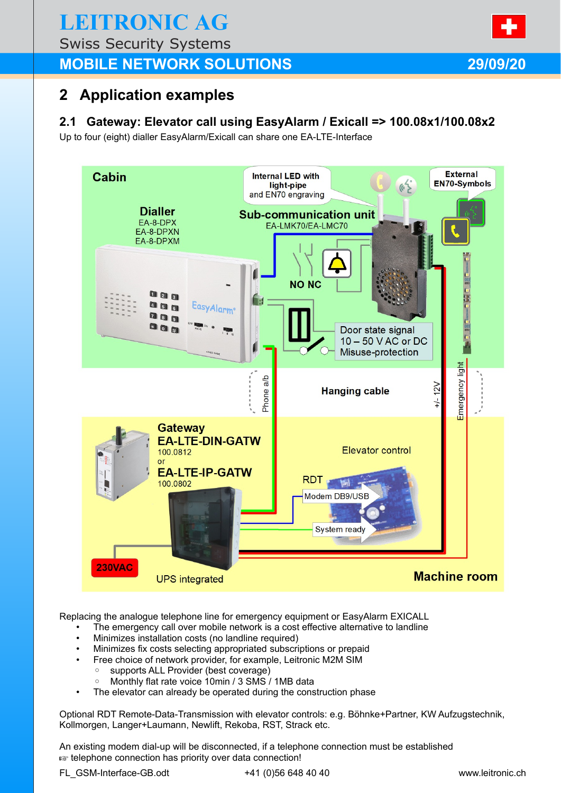# **LEITRONIC AG**

Swiss Security Systems

## **MOBILE NETWORK SOLUTIONS 29/09/20**

## **2 Application examples**

## **2.1 Gateway: Elevator call using EasyAlarm / Exicall => 100.08x1/100.08x2**

Up to four (eight) dialler EasyAlarm/Exicall can share one EA-LTE-Interface



Replacing the analogue telephone line for emergency equipment or EasyAlarm EXICALL

- The emergency call over mobile network is a cost effective alternative to landline
- Minimizes installation costs (no landline required)
- Minimizes fix costs selecting appropriated subscriptions or prepaid
	- Free choice of network provider, for example, Leitronic M2M SIM
		- supports ALL Provider (best coverage)
		- Monthly flat rate voice 10min / 3 SMS / 1MB data
- The elevator can already be operated during the construction phase

Optional RDT Remote-Data-Transmission with elevator controls: e.g. Böhnke+Partner, KW Aufzugstechnik, Kollmorgen, Langer+Laumann, Newlift, Rekoba, RST, Strack etc.

An existing modem dial-up will be disconnected, if a telephone connection must be established **Extra** telephone connection has priority over data connection!

FL\_GSM-Interface-GB.odt +41 (0)56 648 40 40 www.leitronic.ch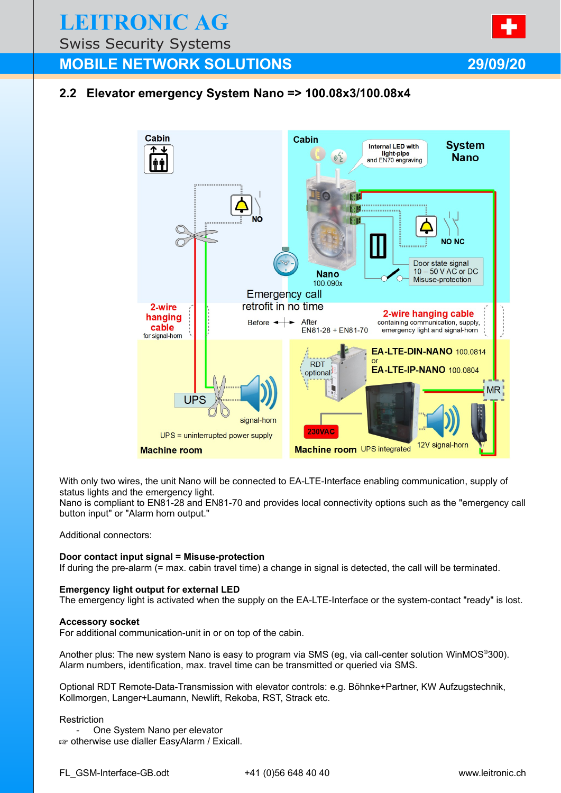**LEITRONIC AG**

Swiss Security Systems

## **MOBILE NETWORK SOLUTIONS 29/09/20**

### **2.2 Elevator emergency System Nano => 100.08x3/100.08x4**



With only two wires, the unit Nano will be connected to EA-LTE-Interface enabling communication, supply of status lights and the emergency light.

Nano is compliant to EN81-28 and EN81-70 and provides local connectivity options such as the "emergency call button input" or "Alarm horn output."

Additional connectors:

### **Door contact input signal = Misuse-protection**

If during the pre-alarm (= max. cabin travel time) a change in signal is detected, the call will be terminated.

### **Emergency light output for external LED**

The emergency light is activated when the supply on the EA-LTE-Interface or the system-contact "ready" is lost.

#### **Accessory socket**

For additional communication-unit in or on top of the cabin.

Another plus: The new system Nano is easy to program via SMS (eg, via call-center solution WinMOS®300). Alarm numbers, identification, max. travel time can be transmitted or queried via SMS.

Optional RDT Remote-Data-Transmission with elevator controls: e.g. Böhnke+Partner, KW Aufzugstechnik, Kollmorgen, Langer+Laumann, Newlift, Rekoba, RST, Strack etc.

#### **Restriction**

One System Nano per elevator **as otherwise use dialler EasyAlarm / Exicall.**